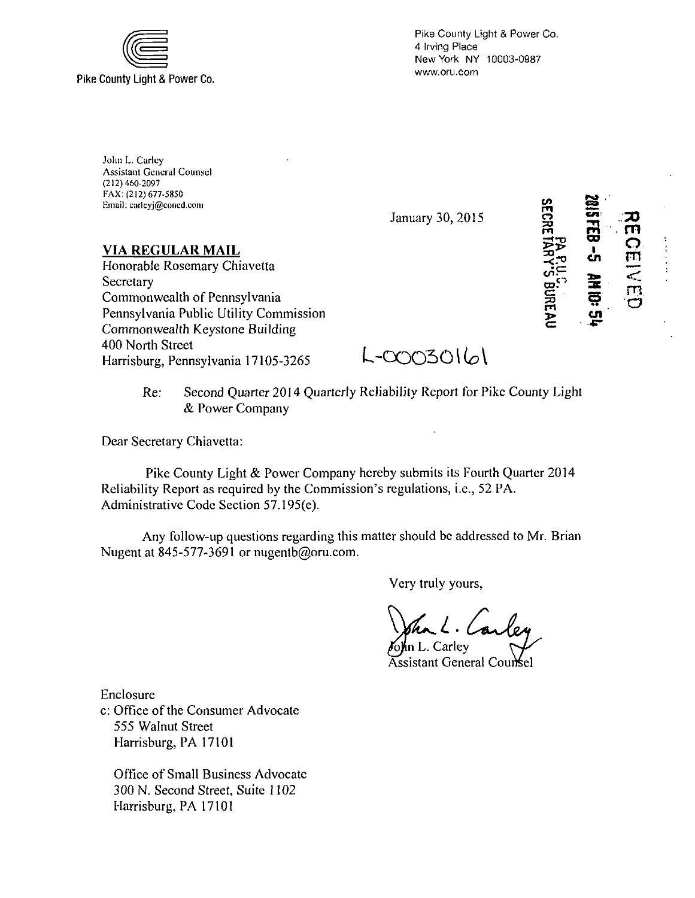

Pike County Light & Power Co. 4 Irving Place New York NY 10003-0987 www.oru.com

John L. Carley Assistant General Counsel (212) 460-2097 I-AX: (212) 677-5850 Email: carleyj@coned.com

January 30, 2015

**VIA REGULAR MAIL**  Honorable Rosemary Chiavetta **Secretary** Commonwealth of Pennsylvania Pennsylvania Public Utility Commission Commonwealth Keystone Building 400 North Street Harrisburg, Pennsylvania 17105-3265

 $L$ -00030161

Re: Second Quarter 2014 Quarterly Reliability Report for Pike County Light & Power Company

Dear Secretary Chiavetta:

Pike County Light & Power Company hereby submits its Fourth Quarter 2014 Reliability Report as required by the Commission's regulations, i.e., 52 PA. Administrative Code Section 57.195(e).

Any follow-up questions regarding this matter should be addressed to Mr. Brian Nugent at 845-577-3691 or nugentb@oru.com.

Very truly yours,

n L. Carley

Assistant General Counsel

Enclosure c: Office of the Consumer Advocate 555 Walnut Street Harrisburg, PA 17101

Office of Small Business Advocate 300 N. Second Street, Suite 1102 Harrisburg, PA 17101

**SECRE**  $\Xi^ \mathbb{S}^{\mathbb{C}}$ a cac<br>c > OO I cn 3E O cn  $\widetilde{\mathsf{m}}$ **o**   $\overline{z}$ **<** 

 $\dot{\phantom{1}}$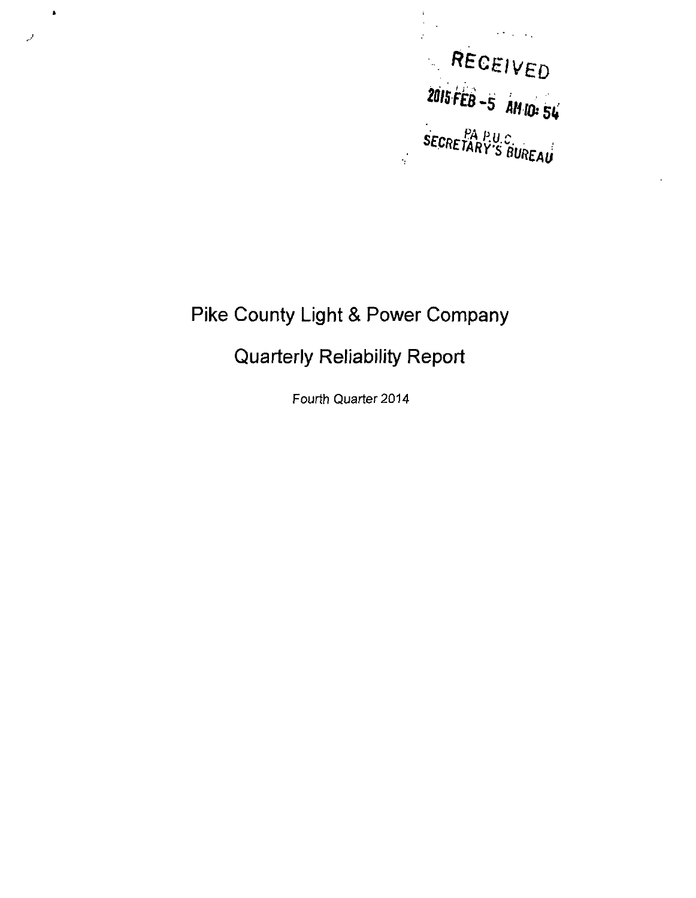

 $\frac{1}{2}$  $\bar{a}$ 

# **Pike County Light & Power Company**

 $\pmb{\ast}$ 

لويه

## **Quarterly Reliability Report**

Fourth Quarter 2014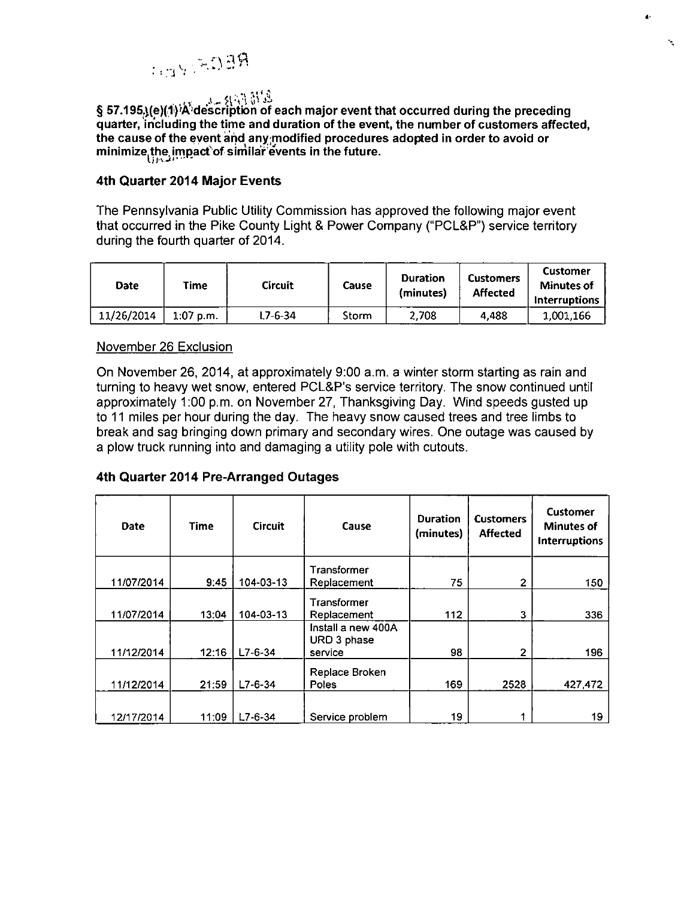

§ 57.195.}(e)(1) 'A<sup>'</sup>description of each major event that occurred during the preceding quarter, including the time and duration ofthe event, the number of customers affected, the cause of the event and any modified procedures adopted in order to avoid or minimize the, impact of similar e'vents in the future.

 $\blacktriangle$ 

 $\lambda$ 

#### **4th Quarter 2014 Major Events**

The Pennsylvania Public Utility Commission has approved the following major event that occurred in the Pike County Light & Power Company ("PCL&P") service territory during the fourth quarter of 2014.

| Date       | Time        | <b>Circuit</b> | Cause | Duration<br>(minutes) | <b>Customers</b><br>Affected | Customer<br><b>Minutes of</b><br><b>Interruptions</b> |
|------------|-------------|----------------|-------|-----------------------|------------------------------|-------------------------------------------------------|
| 11/26/2014 | $1:07$ p.m. | ' 7-6-34       | Storm | 2.708                 | 4.488                        | 1.001.166                                             |

#### November 26 Exclusion

On November 26, 2014, at approximately 9:00 a.m. a winter storm starting as rain and turning to heavy wet snow, entered PCL&P's service territory. The snow continued until approximately 1:00 p.m. on November 27, Thanksgiving Day. Wind speeds gusted up to 11 miles per hour during the day. The heavy snow caused trees and tree limbs to break and sag bringing down primary and secondary wires. One outage was caused by a plow truck running into and damaging a utility pole with cutouts.

### 4th Quarter 2014 Pre-Arranged Outages

| <b>Date</b> | <b>Time</b> | <b>Circuit</b> | Cause                                            | <b>Duration</b><br>(minutes) | <b>Customers</b><br><b>Affected</b> | <b>Customer</b><br><b>Minutes of</b><br>Interruptions |
|-------------|-------------|----------------|--------------------------------------------------|------------------------------|-------------------------------------|-------------------------------------------------------|
|             |             |                | Transformer                                      |                              |                                     |                                                       |
| 11/07/2014  | 9:45        | 104-03-13      | Replacement                                      | 75                           | 2                                   | 150                                                   |
| 11/07/2014  | 13:04       | 104-03-13      | Transformer<br>Replacement<br>Install a new 400A | 112                          | 3                                   | 336                                                   |
| 11/12/2014  | 12:16       | $L7-6-34$      | URD 3 phase<br>service                           | 98                           | 2                                   | 196                                                   |
| 11/12/2014  | 21:59       | $L7 - 6 - 34$  | Replace Broken<br>Poles                          | 169                          | 2528                                | 427,472                                               |
| 12/17/2014  | 11:09       | $L7 - 6 - 34$  | Service problem                                  | 19                           |                                     | 19                                                    |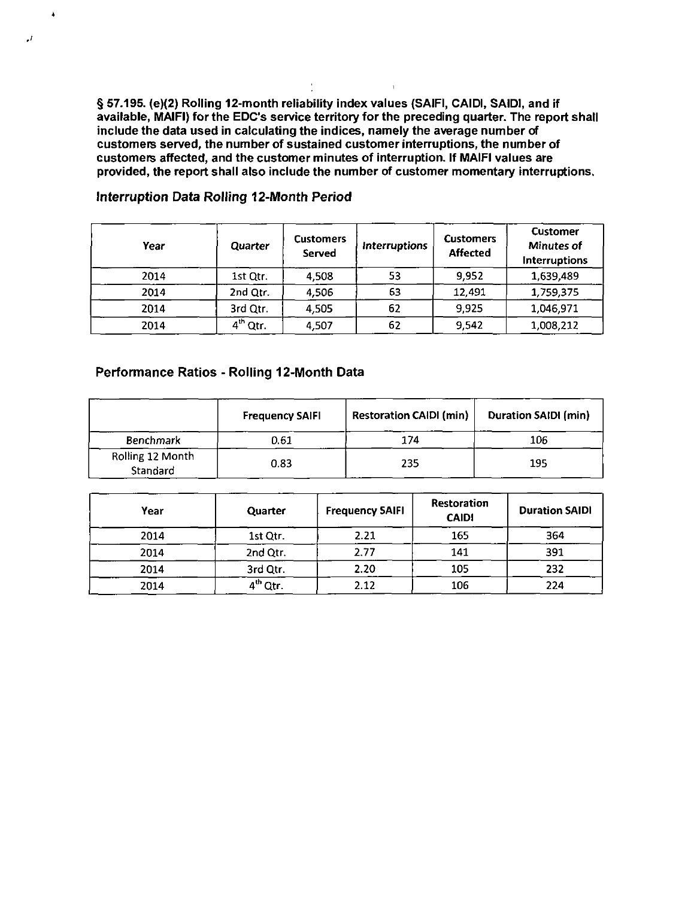**§ 57.195. (e)(2) Rolling 12-month reliability index values (SAIFI, CAIDI, SAIDI, and if available, MAIFI) for the EDO's service territory for the preceding quarter. The report shall include the data used in calculating the indices, namely the average number of customers served, the number of sustained customer interruptions, the number of customers affected, and the customer minutes of interruption. If MAIFI values are provided, the report shall also include the number of customer momentary interruptions.** 

| Year | Quarter    | <b>Customers</b><br>Served | <i><b>Interruptions</b></i> | <b>Customers</b><br><b>Affected</b> | <b>Customer</b><br><b>Minutes of</b><br><b>Interruptions</b> |
|------|------------|----------------------------|-----------------------------|-------------------------------------|--------------------------------------------------------------|
| 2014 | 1st Qtr.   | 4,508                      | 53                          | 9,952                               | 1,639,489                                                    |
| 2014 | 2nd Qtr.   | 4,506                      | 63                          | 12,491                              | 1,759,375                                                    |
| 2014 | 3rd Qtr.   | 4,505                      | 62                          | 9,925                               | 1,046,971                                                    |
| 2014 | $4th$ Qtr. | 4,507                      | 62                          | 9,542                               | 1,008,212                                                    |

#### **Interruption Data Rolling 12-Month Period**

 $\Delta$ 

#### **Performance Ratios - Rolling 12-Month Data**

|                              | <b>Frequency SAIFI</b> | <b>Restoration CAIDI (min)</b> | <b>Duration SAIDI (min)</b> |
|------------------------------|------------------------|--------------------------------|-----------------------------|
| <b>Benchmark</b>             | 0.61                   | 174                            | 106                         |
| Rolling 12 Month<br>Standard | 0.83                   | 235                            | 195                         |

| Year | Quarter              | <b>Frequency SAIFI</b> | Restoration<br><b>CAIDI</b> | <b>Duration SAIDI</b> |
|------|----------------------|------------------------|-----------------------------|-----------------------|
| 2014 | 1st Qtr.             | 2.21                   | 165                         | 364                   |
| 2014 | 2nd Qtr.             | 2.77                   | 141                         | 391                   |
| 2014 | 3rd Qtr.             | 2.20                   | 105                         | 232                   |
| 2014 | 4 <sup>th</sup> Qtr. | 2.12                   | 106                         | 224                   |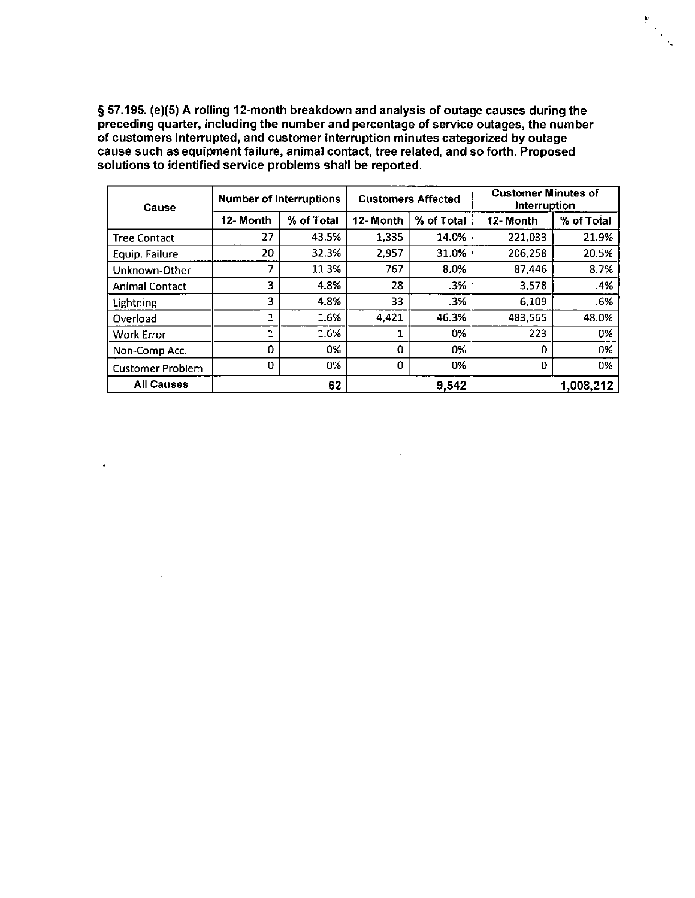**§ 57.195. (e)(5) A rolling 12-month breakdown and analysis of outage causes during the preceding quarter, including the number and percentage of service outages, the number of customers interrupted, and customer interruption minutes categorized by outage cause such as equipment failure, animal contact, tree related, and so forth. Proposed solutions to identified service problems shall be reported.** 

 $\begin{pmatrix} \Phi_1 & & & \\ & \Phi_2 & & \\ & & \Phi_3 \end{pmatrix}$ 

| Cause                   | <b>Number of Interruptions</b> |            | <b>Customers Affected</b> |            | <b>Customer Minutes of</b><br>Interruption |            |
|-------------------------|--------------------------------|------------|---------------------------|------------|--------------------------------------------|------------|
|                         | 12-Month                       | % of Total | 12-Month                  | % of Total | 12-Month                                   | % of Total |
| <b>Tree Contact</b>     | 27                             | 43.5%      | 1,335                     | 14.0%      | 221,033                                    | 21.9%      |
| Equip. Failure          | 20                             | 32.3%      | 2.957                     | 31.0%      | 206,258                                    | 20.5%      |
| Unknown-Other           | 7                              | 11.3%      | 767                       | 8.0%       | 87,446                                     | 8.7%       |
| <b>Animal Contact</b>   | 3                              | 4.8%       | 28                        | .3%        | 3,578                                      | .4%        |
| Lightning               | 3                              | 4.8%       | 33                        | .3%        | 6,109                                      | .6%        |
| Overload                | 1                              | 1.6%       | 4,421                     | 46.3%      | 483,565                                    | 48.0%      |
| <b>Work Error</b>       | 1                              | 1.6%       |                           | 0%         | 223                                        | 0%         |
| Non-Comp Acc.           | 0                              | 0%         | $\Omega$                  | 0%         | 0                                          | 0%         |
| <b>Customer Problem</b> | 0                              | 0%         | 0                         | 0%         | 0                                          | 0%         |
| <b>All Causes</b>       |                                | 62         |                           | 9,542      |                                            | 1,008,212  |

 $\bullet$ 

 $\cdot$